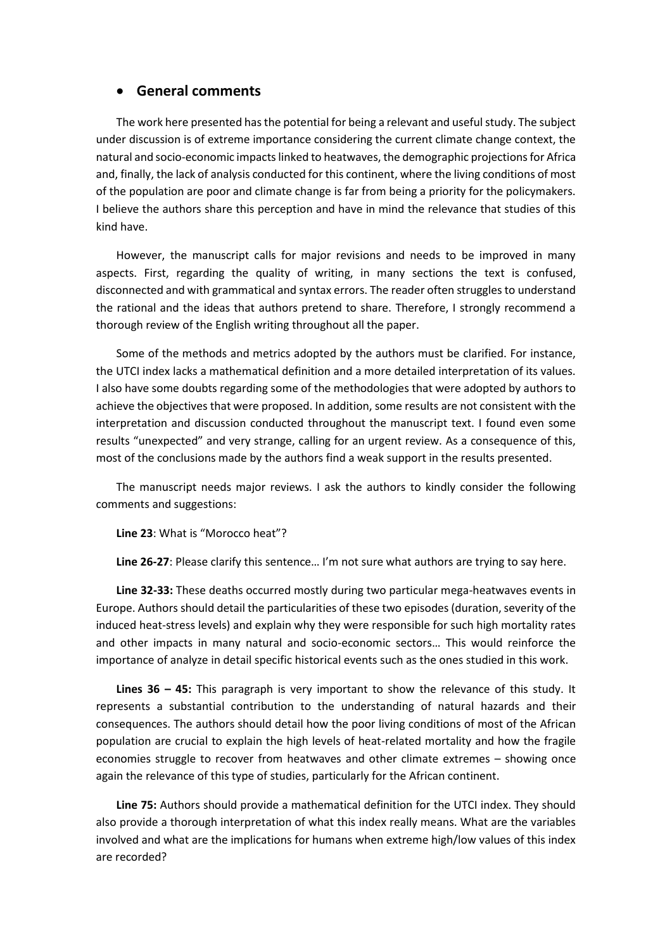## • **General comments**

The work here presented has the potential for being a relevant and useful study. The subject under discussion is of extreme importance considering the current climate change context, the natural and socio-economic impacts linked to heatwaves, the demographic projections for Africa and, finally, the lack of analysis conducted for this continent, where the living conditions of most of the population are poor and climate change is far from being a priority for the policymakers. I believe the authors share this perception and have in mind the relevance that studies of this kind have.

However, the manuscript calls for major revisions and needs to be improved in many aspects. First, regarding the quality of writing, in many sections the text is confused, disconnected and with grammatical and syntax errors. The reader often struggles to understand the rational and the ideas that authors pretend to share. Therefore, I strongly recommend a thorough review of the English writing throughout all the paper.

Some of the methods and metrics adopted by the authors must be clarified. For instance, the UTCI index lacks a mathematical definition and a more detailed interpretation of its values. I also have some doubts regarding some of the methodologies that were adopted by authors to achieve the objectives that were proposed. In addition, some results are not consistent with the interpretation and discussion conducted throughout the manuscript text. I found even some results "unexpected" and very strange, calling for an urgent review. As a consequence of this, most of the conclusions made by the authors find a weak support in the results presented.

The manuscript needs major reviews. I ask the authors to kindly consider the following comments and suggestions:

**Line 23**: What is "Morocco heat"?

**Line 26-27**: Please clarify this sentence… I'm not sure what authors are trying to say here.

**Line 32-33:** These deaths occurred mostly during two particular mega-heatwaves events in Europe. Authors should detail the particularities of these two episodes (duration, severity of the induced heat-stress levels) and explain why they were responsible for such high mortality rates and other impacts in many natural and socio-economic sectors… This would reinforce the importance of analyze in detail specific historical events such as the ones studied in this work.

**Lines 36 – 45:** This paragraph is very important to show the relevance of this study. It represents a substantial contribution to the understanding of natural hazards and their consequences. The authors should detail how the poor living conditions of most of the African population are crucial to explain the high levels of heat-related mortality and how the fragile economies struggle to recover from heatwaves and other climate extremes – showing once again the relevance of this type of studies, particularly for the African continent.

**Line 75:** Authors should provide a mathematical definition for the UTCI index. They should also provide a thorough interpretation of what this index really means. What are the variables involved and what are the implications for humans when extreme high/low values of this index are recorded?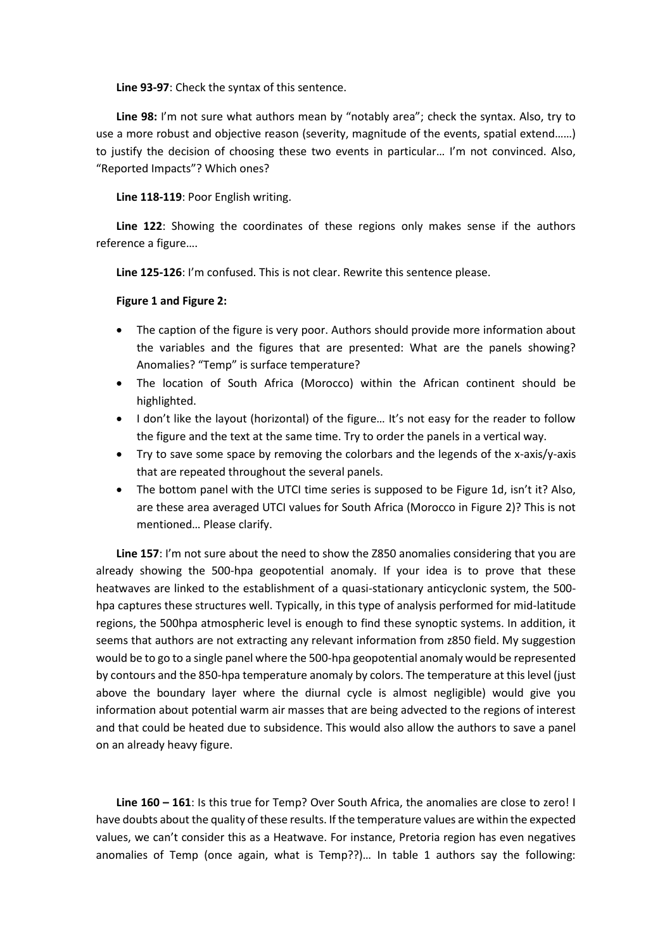**Line 93-97**: Check the syntax of this sentence.

**Line 98:** I'm not sure what authors mean by "notably area"; check the syntax. Also, try to use a more robust and objective reason (severity, magnitude of the events, spatial extend……) to justify the decision of choosing these two events in particular… I'm not convinced. Also, "Reported Impacts"? Which ones?

**Line 118-119**: Poor English writing.

**Line 122**: Showing the coordinates of these regions only makes sense if the authors reference a figure….

**Line 125-126**: I'm confused. This is not clear. Rewrite this sentence please.

## **Figure 1 and Figure 2:**

- The caption of the figure is very poor. Authors should provide more information about the variables and the figures that are presented: What are the panels showing? Anomalies? "Temp" is surface temperature?
- The location of South Africa (Morocco) within the African continent should be highlighted.
- I don't like the layout (horizontal) of the figure… It's not easy for the reader to follow the figure and the text at the same time. Try to order the panels in a vertical way.
- Try to save some space by removing the colorbars and the legends of the x-axis/y-axis that are repeated throughout the several panels.
- The bottom panel with the UTCI time series is supposed to be Figure 1d, isn't it? Also, are these area averaged UTCI values for South Africa (Morocco in Figure 2)? This is not mentioned… Please clarify.

**Line 157**: I'm not sure about the need to show the Z850 anomalies considering that you are already showing the 500-hpa geopotential anomaly. If your idea is to prove that these heatwaves are linked to the establishment of a quasi-stationary anticyclonic system, the 500 hpa captures these structures well. Typically, in this type of analysis performed for mid-latitude regions, the 500hpa atmospheric level is enough to find these synoptic systems. In addition, it seems that authors are not extracting any relevant information from z850 field. My suggestion would be to go to a single panel where the 500-hpa geopotential anomaly would be represented by contours and the 850-hpa temperature anomaly by colors. The temperature at this level (just above the boundary layer where the diurnal cycle is almost negligible) would give you information about potential warm air masses that are being advected to the regions of interest and that could be heated due to subsidence. This would also allow the authors to save a panel on an already heavy figure.

**Line 160 – 161**: Is this true for Temp? Over South Africa, the anomalies are close to zero! I have doubts about the quality of these results. If the temperature values are within the expected values, we can't consider this as a Heatwave. For instance, Pretoria region has even negatives anomalies of Temp (once again, what is Temp??)… In table 1 authors say the following: